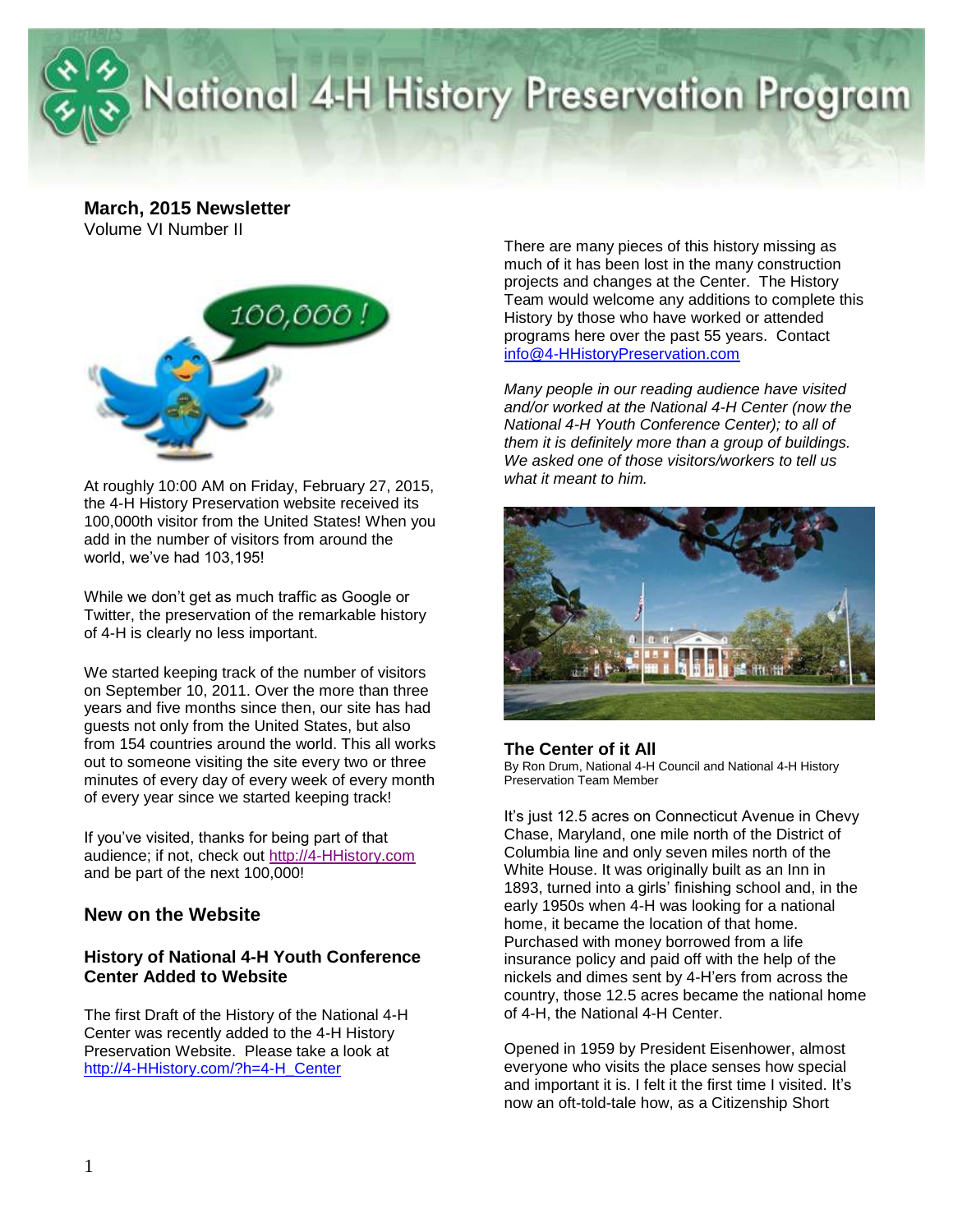

# National 4-H History Preservation Program

**March, 2015 Newsletter** Volume VI Number II



At roughly 10:00 AM on Friday, February 27, 2015, the 4-H History Preservation website received its 100,000th visitor from the United States! When you add in the number of visitors from around the world, we've had 103,195!

While we don't get as much traffic as Google or Twitter, the preservation of the remarkable history of 4-H is clearly no less important.

We started keeping track of the number of visitors on September 10, 2011. Over the more than three years and five months since then, our site has had guests not only from the United States, but also from 154 countries around the world. This all works out to someone visiting the site every two or three minutes of every day of every week of every month of every year since we started keeping track!

If you've visited, thanks for being part of that audience; if not, check out [http://4-HHistory.com](http://4-hhistory.com/) and be part of the next 100,000!

### **New on the Website**

#### **History of National 4-H Youth Conference Center Added to Website**

The first Draft of the History of the National 4-H Center was recently added to the 4-H History Preservation Website. Please take a look at [http://4-HHistory.com/?h=4-H\\_Center](http://4-hhistory.com/?h=4-H_Center)

There are many pieces of this history missing as much of it has been lost in the many construction projects and changes at the Center. The History Team would welcome any additions to complete this History by those who have worked or attended programs here over the past 55 years. Contact [info@4-HHistoryPreservation.com](mailto:info@4-HHistoryPreservation.com) 

*Many people in our reading audience have visited and/or worked at the National 4-H Center (now the National 4-H Youth Conference Center); to all of them it is definitely more than a group of buildings. We asked one of those visitors/workers to tell us what it meant to him.*



#### **The Center of it All**

By Ron Drum, National 4-H Council and National 4-H History Preservation Team Member

It's just 12.5 acres on Connecticut Avenue in Chevy Chase, Maryland, one mile north of the District of Columbia line and only seven miles north of the White House. It was originally built as an Inn in 1893, turned into a girls' finishing school and, in the early 1950s when 4-H was looking for a national home, it became the location of that home. Purchased with money borrowed from a life insurance policy and paid off with the help of the nickels and dimes sent by 4-H'ers from across the country, those 12.5 acres became the national home of 4-H, the National 4-H Center.

Opened in 1959 by President Eisenhower, almost everyone who visits the place senses how special and important it is. I felt it the first time I visited. It's now an oft-told-tale how, as a Citizenship Short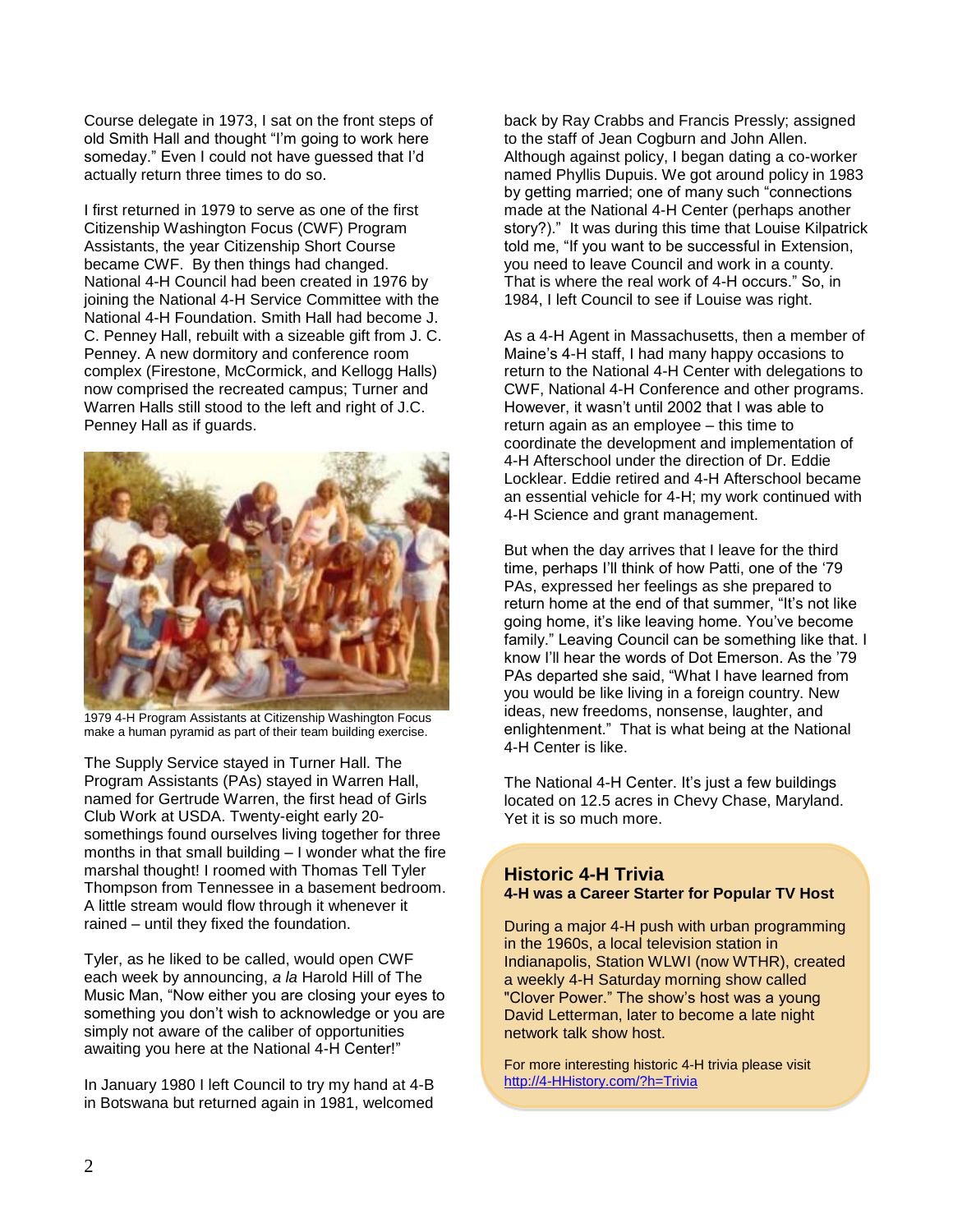Course delegate in 1973, I sat on the front steps of old Smith Hall and thought "I'm going to work here someday." Even I could not have guessed that I'd actually return three times to do so.

I first returned in 1979 to serve as one of the first Citizenship Washington Focus (CWF) Program Assistants, the year Citizenship Short Course became CWF. By then things had changed. National 4-H Council had been created in 1976 by joining the National 4-H Service Committee with the National 4-H Foundation. Smith Hall had become J. C. Penney Hall, rebuilt with a sizeable gift from J. C. Penney. A new dormitory and conference room complex (Firestone, McCormick, and Kellogg Halls) now comprised the recreated campus; Turner and Warren Halls still stood to the left and right of J.C. Penney Hall as if guards.



1979 4-H Program Assistants at Citizenship Washington Focus make a human pyramid as part of their team building exercise.

The Supply Service stayed in Turner Hall. The Program Assistants (PAs) stayed in Warren Hall, named for Gertrude Warren, the first head of Girls Club Work at USDA. Twenty-eight early 20 somethings found ourselves living together for three months in that small building – I wonder what the fire marshal thought! I roomed with Thomas Tell Tyler Thompson from Tennessee in a basement bedroom. A little stream would flow through it whenever it rained – until they fixed the foundation.

Tyler, as he liked to be called, would open CWF each week by announcing, *a la* Harold Hill of The Music Man, "Now either you are closing your eyes to something you don't wish to acknowledge or you are simply not aware of the caliber of opportunities awaiting you here at the National 4-H Center!"

In January 1980 I left Council to try my hand at 4-B in Botswana but returned again in 1981, welcomed back by Ray Crabbs and Francis Pressly; assigned to the staff of Jean Cogburn and John Allen. Although against policy, I began dating a co-worker named Phyllis Dupuis. We got around policy in 1983 by getting married; one of many such "connections made at the National 4-H Center (perhaps another story?)." It was during this time that Louise Kilpatrick told me, "If you want to be successful in Extension, you need to leave Council and work in a county. That is where the real work of 4-H occurs." So, in 1984, I left Council to see if Louise was right.

As a 4-H Agent in Massachusetts, then a member of Maine's 4-H staff, I had many happy occasions to return to the National 4-H Center with delegations to CWF, National 4-H Conference and other programs. However, it wasn't until 2002 that I was able to return again as an employee – this time to coordinate the development and implementation of 4-H Afterschool under the direction of Dr. Eddie Locklear. Eddie retired and 4-H Afterschool became an essential vehicle for 4-H; my work continued with 4-H Science and grant management.

But when the day arrives that I leave for the third time, perhaps I'll think of how Patti, one of the '79 PAs, expressed her feelings as she prepared to return home at the end of that summer, "It's not like going home, it's like leaving home. You've become family." Leaving Council can be something like that. I know I'll hear the words of Dot Emerson. As the '79 PAs departed she said, "What I have learned from you would be like living in a foreign country. New ideas, new freedoms, nonsense, laughter, and enlightenment." That is what being at the National 4-H Center is like.

The National 4-H Center. It's just a few buildings located on 12.5 acres in Chevy Chase, Maryland. Yet it is so much more.

#### **Historic 4-H Trivia 4-H was a Career Starter for Popular TV Host**

During a major 4-H push with urban programming in the 1960s, a local television station in Indianapolis, Station WLWI (now WTHR), created a weekly 4-H Saturday morning show called "Clover Power." The show's host was a young David Letterman, later to become a late night network talk show host.

For more interesting historic 4-H trivia please visit [http://4-HHistory.com/?h=Trivia](http://4-hhistory.com/?h=Trivia)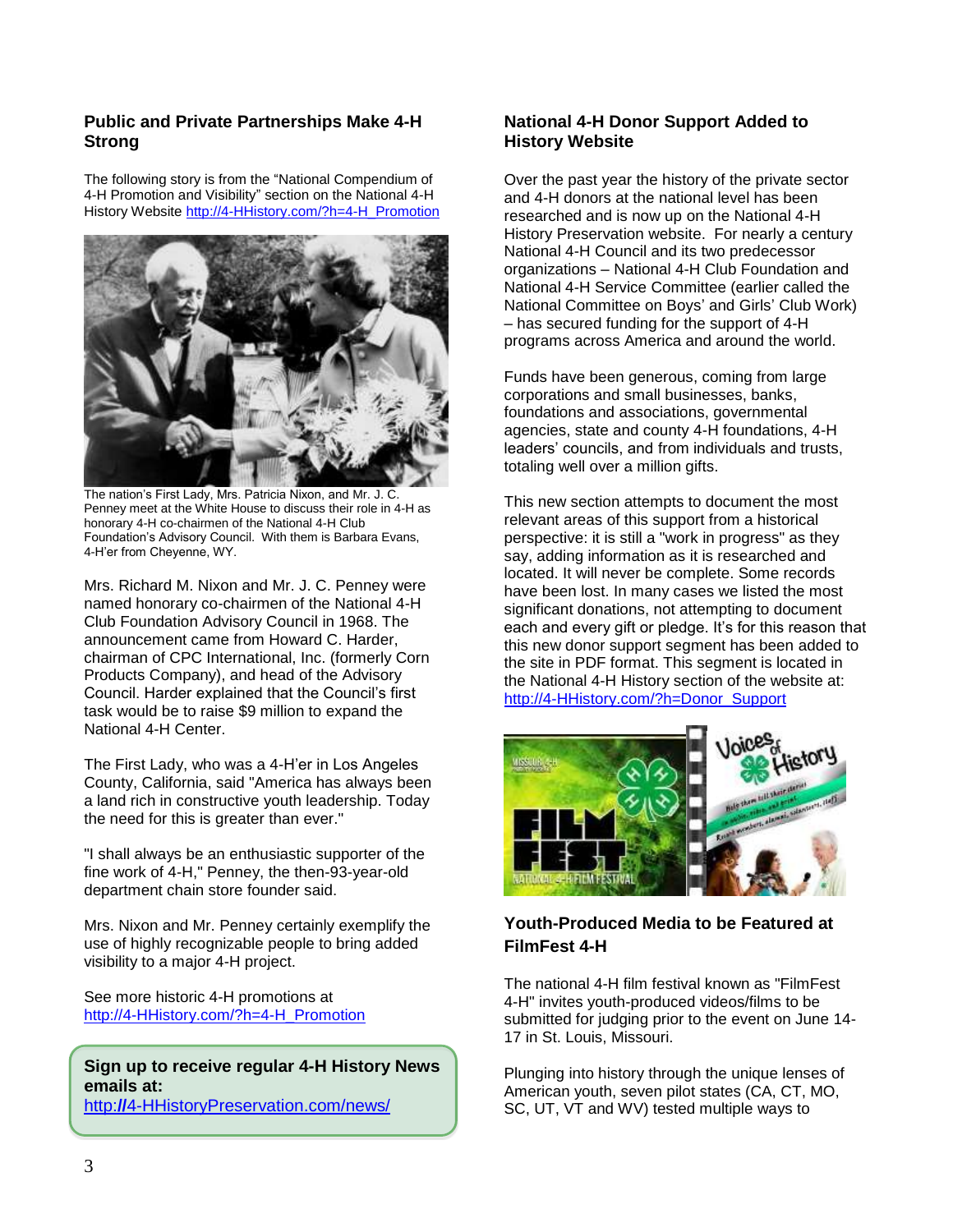#### **Public and Private Partnerships Make 4-H Strong**

The following story is from the "National Compendium of 4-H Promotion and Visibility" section on the National 4-H History Websit[e http://4-HHistory.com/?h=4-H\\_Promotion](http://4-hhistory.com/?h=4-H_Promotion)



The nation's First Lady, Mrs. Patricia Nixon, and Mr. J. C. Penney meet at the White House to discuss their role in 4-H as honorary 4-H co-chairmen of the National 4-H Club Foundation's Advisory Council. With them is Barbara Evans, 4-H'er from Cheyenne, WY.

Mrs. Richard M. Nixon and Mr. J. C. Penney were named honorary co-chairmen of the National 4-H Club Foundation Advisory Council in 1968. The announcement came from Howard C. Harder, chairman of CPC International, Inc. (formerly Corn Products Company), and head of the Advisory Council. Harder explained that the Council's first task would be to raise \$9 million to expand the National 4-H Center.

The First Lady, who was a 4-H'er in Los Angeles County, California, said "America has always been a land rich in constructive youth leadership. Today the need for this is greater than ever."

"I shall always be an enthusiastic supporter of the fine work of 4-H," Penney, the then-93-year-old department chain store founder said.

Mrs. Nixon and Mr. Penney certainly exemplify the use of highly recognizable people to bring added visibility to a major 4-H project.

See more historic 4-H promotions at [http://4-HHistory.com/?h=4-H\\_Promotion](http://4-hhistory.com/?h=4-H_Promotion)

**Sign up to receive regular 4-H History News emails at:** 

http:**//**[4-HHistoryPreservation.com/news/](http://4-hhistorypreservation.com/news/)

#### **National 4-H Donor Support Added to History Website**

Over the past year the history of the private sector and 4-H donors at the national level has been researched and is now up on the National 4-H History Preservation website. For nearly a century National 4-H Council and its two predecessor organizations – National 4-H Club Foundation and National 4-H Service Committee (earlier called the National Committee on Boys' and Girls' Club Work) – has secured funding for the support of 4-H programs across America and around the world.

Funds have been generous, coming from large corporations and small businesses, banks, foundations and associations, governmental agencies, state and county 4-H foundations, 4-H leaders' councils, and from individuals and trusts, totaling well over a million gifts.

This new section attempts to document the most relevant areas of this support from a historical perspective: it is still a "work in progress" as they say, adding information as it is researched and located. It will never be complete. Some records have been lost. In many cases we listed the most significant donations, not attempting to document each and every gift or pledge. It's for this reason that this new donor support segment has been added to the site in PDF format. This segment is located in the National 4-H History section of the website at: [http://4-HHistory.com/?h=Donor\\_Support](http://4-hhistory.com/?h=Donor_Support)



## **Youth-Produced Media to be Featured at FilmFest 4-H**

The national 4-H film festival known as "FilmFest 4-H" invites youth-produced videos/films to be submitted for judging prior to the event on June 14- 17 in St. Louis, Missouri.

Plunging into history through the unique lenses of American youth, seven pilot states (CA, CT, MO, SC, UT, VT and WV) tested multiple ways to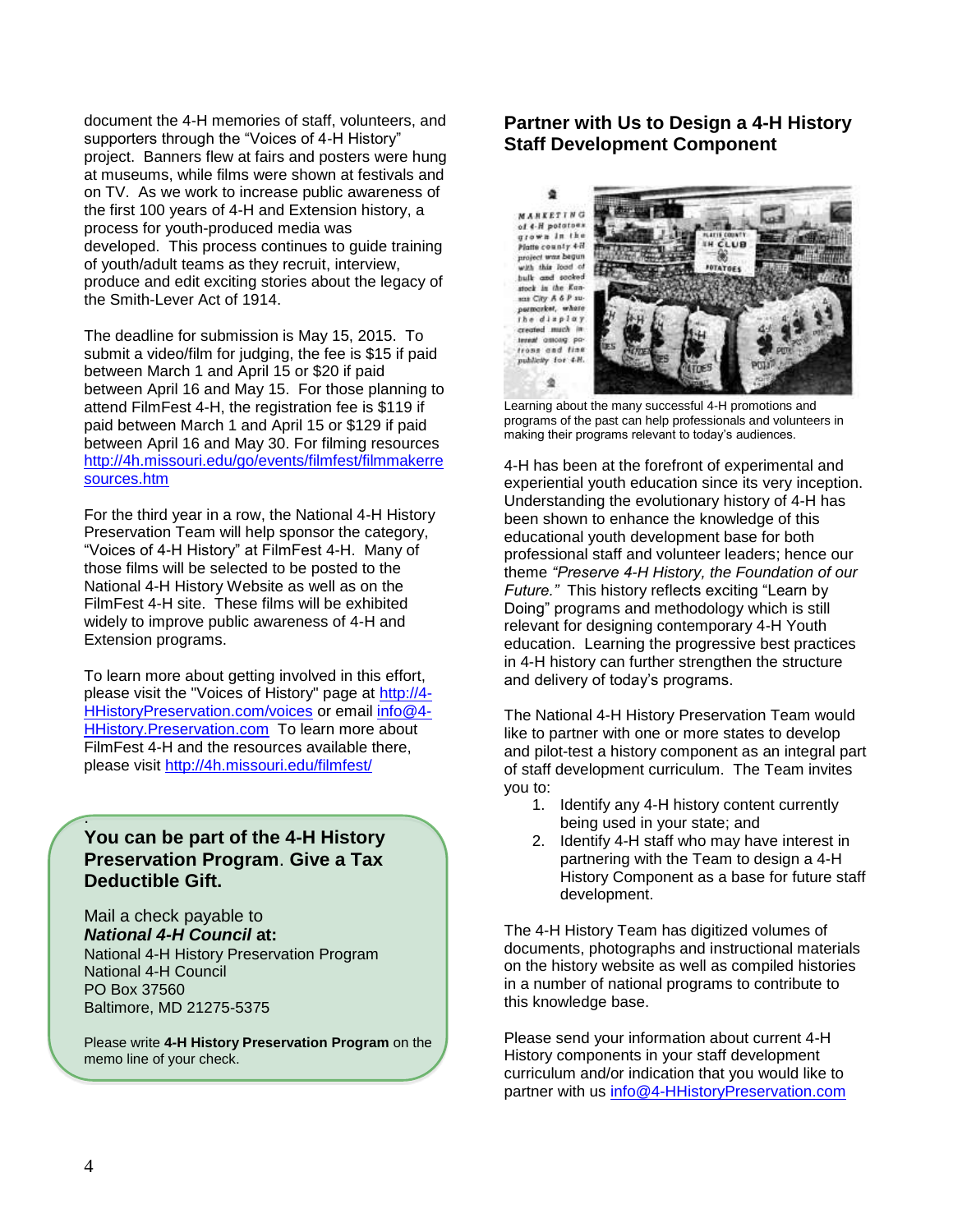document the 4-H memories of staff, volunteers, and supporters through the "Voices of 4-H History" project. Banners flew at fairs and posters were hung at museums, while films were shown at festivals and on TV. As we work to increase public awareness of the first 100 years of 4-H and Extension history, a process for youth-produced media was developed. This process continues to guide training of youth/adult teams as they recruit, interview, produce and edit exciting stories about the legacy of the Smith-Lever Act of 1914.

The deadline for submission is May 15, 2015. To submit a video/film for judging, the fee is \$15 if paid between March 1 and April 15 or \$20 if paid between April 16 and May 15. For those planning to attend FilmFest 4-H, the registration fee is \$119 if paid between March 1 and April 15 or \$129 if paid between April 16 and May 30. For filming resources [http://4h.missouri.edu/go/events/filmfest/filmmakerre](http://4h.missouri.edu/go/events/filmfest/filmmakerresources.htm) [sources.htm](http://4h.missouri.edu/go/events/filmfest/filmmakerresources.htm)

For the third year in a row, the National 4-H History Preservation Team will help sponsor the category, "Voices of 4-H History" at FilmFest 4-H. Many of those films will be selected to be posted to the National 4-H History Website as well as on the FilmFest 4-H site. These films will be exhibited widely to improve public awareness of 4-H and Extension programs.

To learn more about getting involved in this effort, please visit the "Voices of History" page at [http://4-](http://4-hhistorypreservation.com/voices) [HHistoryPreservation.com/voices](http://4-hhistorypreservation.com/voices) or email [info@4-](mailto:info@4-HHistory.Preservation.com.) [HHistory.Preservation.com](mailto:info@4-HHistory.Preservation.com.) To learn more about FilmFest 4-H and the resources available there, please visit<http://4h.missouri.edu/filmfest/>

### **You can be part of the 4-H History Preservation Program**. **Give a Tax Deductible Gift.**

Mail a check payable to *National 4-H Council* **at:** National 4-H History Preservation Program National 4-H Council PO Box 37560 Baltimore, MD 21275-5375

Please write **4-H History Preservation Program** on the memo line of your check.

### **Partner with Us to Design a 4-H History Staff Development Component**

٠ **MARKETING** of 4-H potatoes grown in the<br>Matte county 4M project was begun<br>with this lood of bulk and socked<br>stock in the Kansas City A & P su-<br>parmarket, where the display created much in terest assaug pofrons and fine publicity for 4.H. ۵



Learning about the many successful 4-H promotions and programs of the past can help professionals and volunteers in making their programs relevant to today's audiences.

4-H has been at the forefront of experimental and experiential youth education since its very inception. Understanding the evolutionary history of 4-H has been shown to enhance the knowledge of this educational youth development base for both professional staff and volunteer leaders; hence our theme *"Preserve 4-H History, the Foundation of our Future."* This history reflects exciting "Learn by Doing" programs and methodology which is still relevant for designing contemporary 4-H Youth education. Learning the progressive best practices in 4-H history can further strengthen the structure and delivery of today's programs.

The National 4-H History Preservation Team would like to partner with one or more states to develop and pilot-test a history component as an integral part of staff development curriculum. The Team invites you to:

- 1. Identify any 4-H history content currently being used in your state; and
- 2. Identify 4-H staff who may have interest in partnering with the Team to design a 4-H History Component as a base for future staff development.

The 4-H History Team has digitized volumes of documents, photographs and instructional materials on the history website as well as compiled histories in a number of national programs to contribute to this knowledge base.

Please send your information about current 4-H History components in your staff development curriculum and/or indication that you would like to partner with us [info@4-HHistoryPreservation.com](mailto:info@4-HHistoryPreservation.com)

.